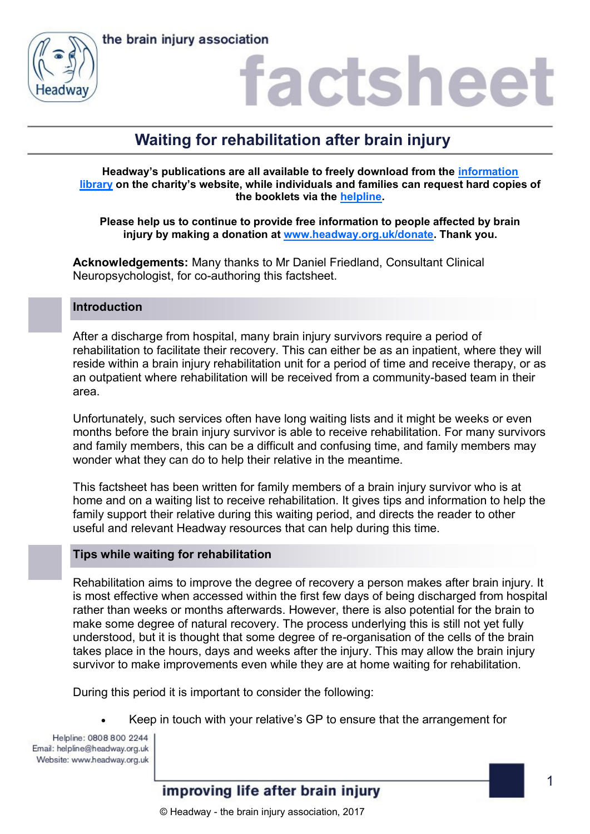



### factshee

### **Waiting for rehabilitation after brain injury**

**Headway's publications are all available to freely download from the [information](https://www.headway.org.uk/about-brain-injury/individuals/information-library/)  [library](https://www.headway.org.uk/about-brain-injury/individuals/information-library/) on the charity's website, while individuals and families can request hard copies of the booklets via the [helpline.](https://www.headway.org.uk/supporting-you/helpline/)**

**Please help us to continue to provide free information to people affected by brain injury by making a donation at [www.headway.org.uk/donate.](http://www.headway.org.uk/donate) Thank you.**

**Acknowledgements:** Many thanks to Mr Daniel Friedland, Consultant Clinical Neuropsychologist, for co-authoring this factsheet.

### **Introduction**

After a discharge from hospital, many brain injury survivors require a period of rehabilitation to facilitate their recovery. This can either be as an inpatient, where they will reside within a brain injury rehabilitation unit for a period of time and receive therapy, or as an outpatient where rehabilitation will be received from a community-based team in their area.

Unfortunately, such services often have long waiting lists and it might be weeks or even months before the brain injury survivor is able to receive rehabilitation. For many survivors and family members, this can be a difficult and confusing time, and family members may wonder what they can do to help their relative in the meantime.

This factsheet has been written for family members of a brain injury survivor who is at home and on a waiting list to receive rehabilitation. It gives tips and information to help the family support their relative during this waiting period, and directs the reader to other useful and relevant Headway resources that can help during this time.

### **Tips while waiting for rehabilitation**

Rehabilitation aims to improve the degree of recovery a person makes after brain injury. It is most effective when accessed within the first few days of being discharged from hospital rather than weeks or months afterwards. However, there is also potential for the brain to make some degree of natural recovery. The process underlying this is still not yet fully understood, but it is thought that some degree of re-organisation of the cells of the brain takes place in the hours, days and weeks after the injury. This may allow the brain injury survivor to make improvements even while they are at home waiting for rehabilitation.

During this period it is important to consider the following:

Keep in touch with your relative's GP to ensure that the arrangement for

Helpline: 0808 800 2244 Email: helpline@headway.org.uk Website: www.headway.org.uk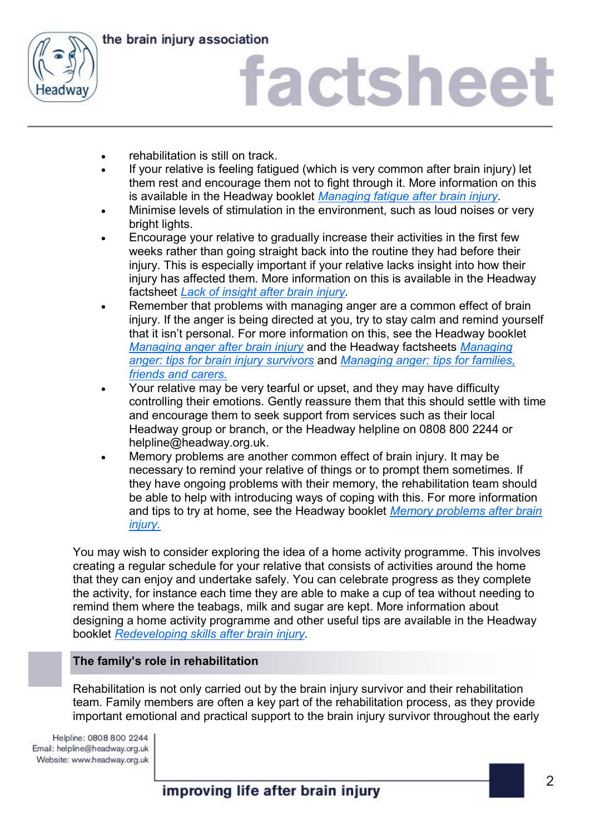

the brain injury association

# factsheet

- rehabilitation is still on track.
- If your relative is feeling fatigued (which is very common after brain injury) let them rest and encourage them not to fight through it. More information on this is available in the Headway booklet *[Managing fatigue after brain injury.](https://www.headway.org.uk/media/3995/managing-fatigue-e-booklet.pdf)*
- Minimise levels of stimulation in the environment, such as loud noises or very bright lights.
- Encourage your relative to gradually increase their activities in the first few weeks rather than going straight back into the routine they had before their injury. This is especially important if your relative lacks insight into how their injury has affected them. More information on this is available in the Headway factsheet *[Lack of insight after brain injury.](https://www.headway.org.uk/media/4091/lack-of-insight-after-brain-injury-factsheet.pdf)*
- Remember that problems with managing anger are a common effect of brain injury. If the anger is being directed at you, try to stay calm and remind yourself that it isn't personal. For more information on this, see the Headway booklet *[Managing anger after brain injury](https://www.headway.org.uk/media/3994/managing-anger-e-booklet.pdf)* and the Headway factsheets *[Managing](https://www.headway.org.uk/media/2809/managing-anger-tips-for-brain-injury-survivors-factsheet.pdf)  [anger: tips for brain injury survivors](https://www.headway.org.uk/media/2809/managing-anger-tips-for-brain-injury-survivors-factsheet.pdf)* and *[Managing anger: tips for families,](https://www.headway.org.uk/media/2810/managing-anger-tips-for-families-friends-and-carers-factsheet.pdf)  [friends and carers.](https://www.headway.org.uk/media/2810/managing-anger-tips-for-families-friends-and-carers-factsheet.pdf)*
- Your relative may be very tearful or upset, and they may have difficulty controlling their emotions. Gently reassure them that this should settle with time and encourage them to seek support from services such as their local Headway group or branch, or the Headway helpline on 0808 800 2244 or helpline@headway.org.uk.
- Memory problems are another common effect of brain injury. It may be necessary to remind your relative of things or to prompt them sometimes. If they have ongoing problems with their memory, the rehabilitation team should be able to help with introducing ways of coping with this. For more information and tips to try at home, see the Headway booklet *[Memory problems after brain](https://www.headway.org.uk/media/3996/memory-problems-after-brain-injury-e-booklet.pdf)  [injury.](https://www.headway.org.uk/media/3996/memory-problems-after-brain-injury-e-booklet.pdf)*

You may wish to consider exploring the idea of a home activity programme. This involves creating a regular schedule for your relative that consists of activities around the home that they can enjoy and undertake safely. You can celebrate progress as they complete the activity, for instance each time they are able to make a cup of tea without needing to remind them where the teabags, milk and sugar are kept. More information about designing a home activity programme and other useful tips are available in the Headway booklet *[Redeveloping skills after brain injury.](https://www.headway.org.uk/media/4000/redeveloping-skills-after-brain-injury-e-booklet.pdf)* 

### **The family's role in rehabilitation**

Rehabilitation is not only carried out by the brain injury survivor and their rehabilitation team. Family members are often a key part of the rehabilitation process, as they provide important emotional and practical support to the brain injury survivor throughout the early

Helpline: 0808 800 2244 Email: helpline@headway.org.uk Website: www.headway.org.uk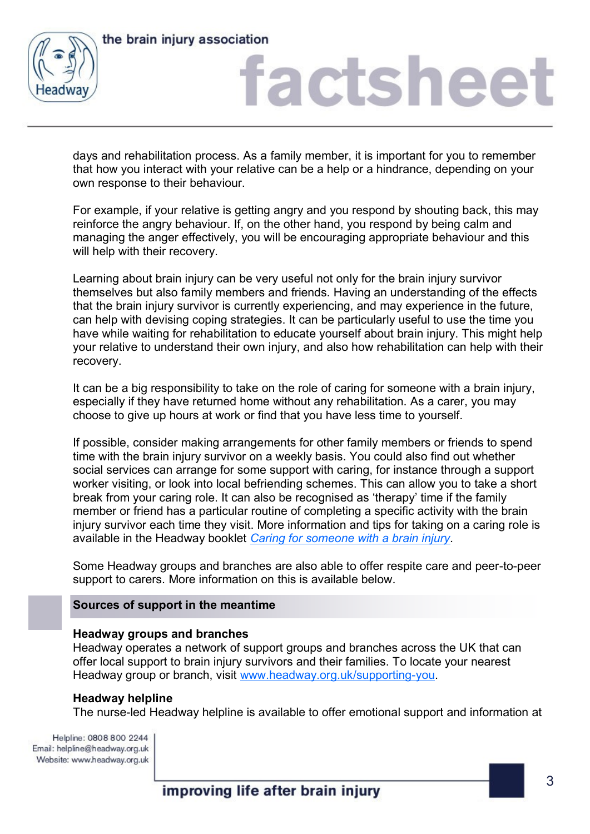

the brain injury association

# factsheet

days and rehabilitation process. As a family member, it is important for you to remember that how you interact with your relative can be a help or a hindrance, depending on your own response to their behaviour.

For example, if your relative is getting angry and you respond by shouting back, this may reinforce the angry behaviour. If, on the other hand, you respond by being calm and managing the anger effectively, you will be encouraging appropriate behaviour and this will help with their recovery.

Learning about brain injury can be very useful not only for the brain injury survivor themselves but also family members and friends. Having an understanding of the effects that the brain injury survivor is currently experiencing, and may experience in the future, can help with devising coping strategies. It can be particularly useful to use the time you have while waiting for rehabilitation to educate yourself about brain injury. This might help your relative to understand their own injury, and also how rehabilitation can help with their recovery.

It can be a big responsibility to take on the role of caring for someone with a brain injury, especially if they have returned home without any rehabilitation. As a carer, you may choose to give up hours at work or find that you have less time to yourself.

If possible, consider making arrangements for other family members or friends to spend time with the brain injury survivor on a weekly basis. You could also find out whether social services can arrange for some support with caring, for instance through a support worker visiting, or look into local befriending schemes. This can allow you to take a short break from your caring role. It can also be recognised as 'therapy' time if the family member or friend has a particular routine of completing a specific activity with the brain injury survivor each time they visit. More information and tips for taking on a caring role is available in the Headway booklet *[Caring for someone with a brain injury.](https://www.headway.org.uk/media/3989/caring-for-someone-after-a-brain-injury-e-booklet.pdf)* 

Some Headway groups and branches are also able to offer respite care and peer-to-peer support to carers. More information on this is available below.

### **Sources of support in the meantime**

### **Headway groups and branches**

Headway operates a network of support groups and branches across the UK that can offer local support to brain injury survivors and their families. To locate your nearest Headway group or branch, visit [www.headway.org.uk/supporting-you.](http://www.headway.org.uk/supporting-you)

### **Headway helpline**

The nurse-led Headway helpline is available to offer emotional support and information at

Helpline: 0808 800 2244 Email: helpline@headway.org.uk Website: www.headway.org.uk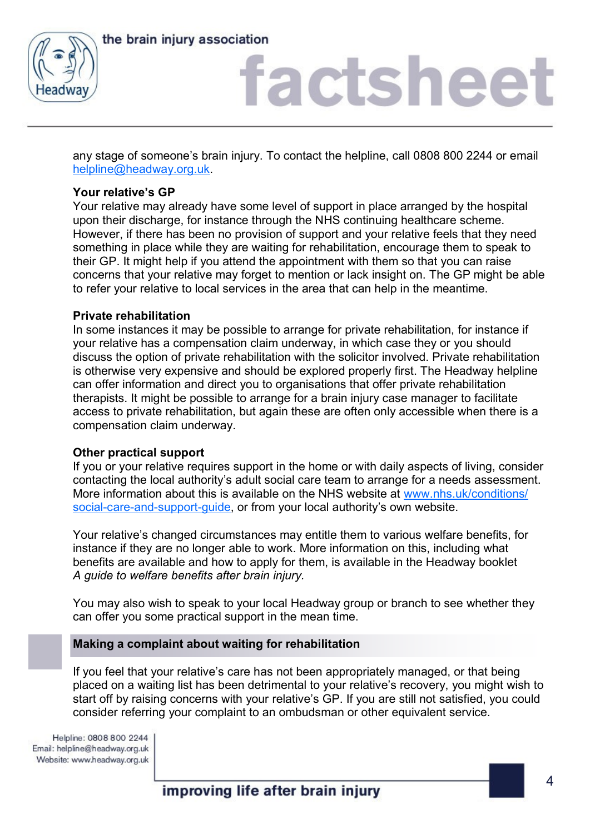

the brain injury association

# factsheet

any stage of someone's brain injury. To contact the helpline, call 0808 800 2244 or email [helpline@headway.org.uk.](mailto:helpline@headway.org.uk)

### **Your relative's GP**

Your relative may already have some level of support in place arranged by the hospital upon their discharge, for instance through the NHS continuing healthcare scheme. However, if there has been no provision of support and your relative feels that they need something in place while they are waiting for rehabilitation, encourage them to speak to their GP. It might help if you attend the appointment with them so that you can raise concerns that your relative may forget to mention or lack insight on. The GP might be able to refer your relative to local services in the area that can help in the meantime.

### **Private rehabilitation**

In some instances it may be possible to arrange for private rehabilitation, for instance if your relative has a compensation claim underway, in which case they or you should discuss the option of private rehabilitation with the solicitor involved. Private rehabilitation is otherwise very expensive and should be explored properly first. The Headway helpline can offer information and direct you to organisations that offer private rehabilitation therapists. It might be possible to arrange for a brain injury case manager to facilitate access to private rehabilitation, but again these are often only accessible when there is a compensation claim underway.

### **Other practical support**

If you or your relative requires support in the home or with daily aspects of living, consider contacting the local authority's adult social care team to arrange for a needs assessment. More information about this is available on the NHS website at [www.nhs.uk/conditions/](http://www.nhs.uk/conditions/social-care-and-support-guide/pages/assessment-care-needs.aspx) [social-care-and-support-guide](http://www.nhs.uk/conditions/social-care-and-support-guide/pages/assessment-care-needs.aspx), or from your local authority's own website.

Your relative's changed circumstances may entitle them to various welfare benefits, for instance if they are no longer able to work. More information on this, including what benefits are available and how to apply for them, is available in the Headway booklet *A guide to welfare benefits after brain injury.* 

You may also wish to speak to your local Headway group or branch to see whether they can offer you some practical support in the mean time.

### **Making a complaint about waiting for rehabilitation**

If you feel that your relative's care has not been appropriately managed, or that being placed on a waiting list has been detrimental to your relative's recovery, you might wish to start off by raising concerns with your relative's GP. If you are still not satisfied, you could consider referring your complaint to an ombudsman or other equivalent service.

Helpline: 0808 800 2244 Email: helpline@headway.org.uk Website: www.headway.org.uk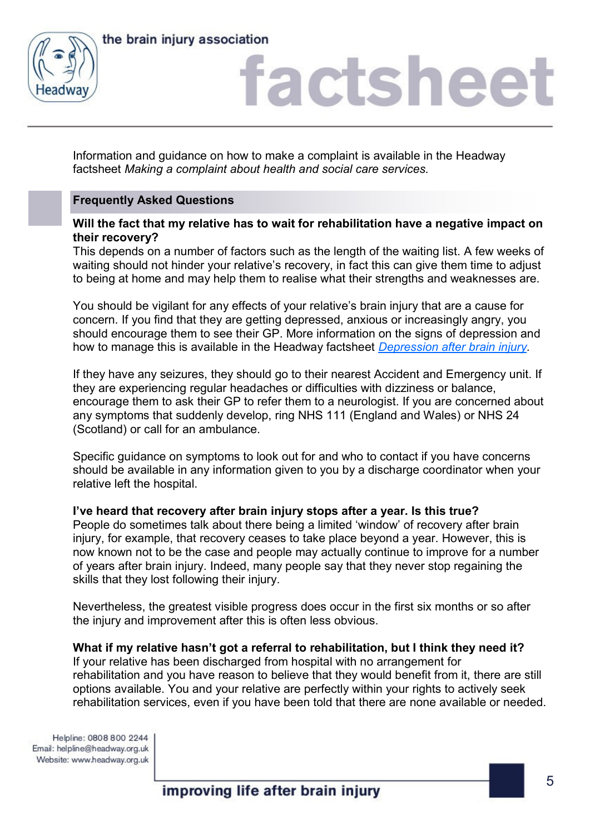



## iactshee

Information and guidance on how to make a complaint is available in the Headway factsheet *Making a complaint about health and social care services.* 

### **Frequently Asked Questions**

**Will the fact that my relative has to wait for rehabilitation have a negative impact on their recovery?**

This depends on a number of factors such as the length of the waiting list. A few weeks of waiting should not hinder your relative's recovery, in fact this can give them time to adjust to being at home and may help them to realise what their strengths and weaknesses are.

You should be vigilant for any effects of your relative's brain injury that are a cause for concern. If you find that they are getting depressed, anxious or increasingly angry, you should encourage them to see their GP. More information on the signs of depression and how to manage this is available in the Headway factsheet *[Depression after brain injury.](https://www.headway.org.uk/media/4712/depression-after-brain-injury-factsheet.pdf)* 

If they have any seizures, they should go to their nearest Accident and Emergency unit. If they are experiencing regular headaches or difficulties with dizziness or balance, encourage them to ask their GP to refer them to a neurologist. If you are concerned about any symptoms that suddenly develop, ring NHS 111 (England and Wales) or NHS 24 (Scotland) or call for an ambulance.

Specific guidance on symptoms to look out for and who to contact if you have concerns should be available in any information given to you by a discharge coordinator when your relative left the hospital.

### **I've heard that recovery after brain injury stops after a year. Is this true?**

People do sometimes talk about there being a limited 'window' of recovery after brain injury, for example, that recovery ceases to take place beyond a year. However, this is now known not to be the case and people may actually continue to improve for a number of years after brain injury. Indeed, many people say that they never stop regaining the skills that they lost following their injury.

Nevertheless, the greatest visible progress does occur in the first six months or so after the injury and improvement after this is often less obvious.

### **What if my relative hasn't got a referral to rehabilitation, but I think they need it?**

If your relative has been discharged from hospital with no arrangement for rehabilitation and you have reason to believe that they would benefit from it, there are still options available. You and your relative are perfectly within your rights to actively seek rehabilitation services, even if you have been told that there are none available or needed.

Helpline: 0808 800 2244 Email: helpline@headway.org.uk Website: www.headway.org.uk